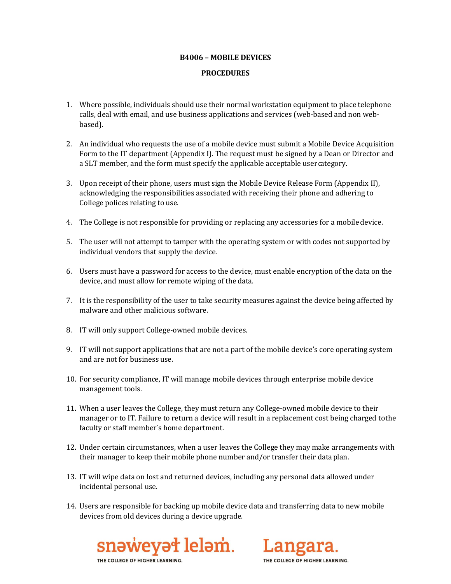## **B4006 – MOBILE DEVICES**

## **PROCEDURES**

- 1. Where possible, individuals should use their normal workstation equipment to place telephone calls, deal with email, and use business applications and services (web-based and non webbased).
- 2. An individual who requests the use of a mobile device must submit a Mobile Device Acquisition Form to the IT department (Appendix I). The request must be signed by a Dean or Director and a SLT member, and the form must specify the applicable acceptable user category.
- 3. Upon receipt of their phone, users must sign the Mobile Device Release Form (Appendix II), acknowledging the responsibilities associated with receiving their phone and adhering to College polices relating to use.
- 4. The College is not responsible for providing or replacing any accessories for a mobiledevice.
- 5. The user will not attempt to tamper with the operating system or with codes not supported by individual vendors that supply the device.
- 6. Users must have a password for access to the device, must enable encryption of the data on the device, and must allow for remote wiping of thedata.
- 7. It is the responsibility of the user to take security measures against the device being affected by malware and other malicious software.
- 8. IT will only support College-owned mobile devices.
- 9. IT will not support applications that are not a part of the mobile device's core operating system and are not for business use.
- 10. For security compliance, IT will manage mobile devices through enterprise mobile device management tools.
- 11. When a user leaves the College, they must return any College-owned mobile device to their manager or to IT. Failure to return a device will result in a replacement cost being charged tothe faculty or staff member's home department.
- 12. Under certain circumstances, when a user leaves the College they may make arrangements with their manager to keep their mobile phone number and/or transfer their dataplan.
- 13. IT will wipe data on lost and returned devices, including any personal data allowed under incidental personal use.
- 14. Users are responsible for backing up mobile device data and transferring data to new mobile devices from old devices during a device upgrade.



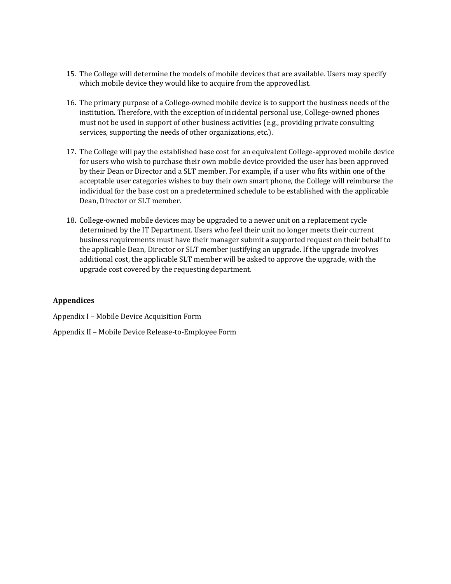- 15. The College will determine the models of mobile devices that are available. Users may specify which mobile device they would like to acquire from the approved list.
- 16. The primary purpose of a College-owned mobile device is to support the business needs of the institution. Therefore, with the exception of incidental personal use, College-owned phones must not be used in support of other business activities (e.g., providing private consulting services, supporting the needs of other organizations, etc.).
- 17. The College will pay the established base cost for an equivalent College-approved mobile device for users who wish to purchase their own mobile device provided the user has been approved by their Dean or Director and a SLT member. For example, if a user who fits within one of the acceptable user categories wishes to buy their own smart phone, the College will reimburse the individual for the base cost on a predetermined schedule to be established with the applicable Dean, Director or SLT member.
- 18. College-owned mobile devices may be upgraded to a newer unit on a replacement cycle determined by the IT Department. Users who feel their unit no longer meets their current business requirements must have their manager submit a supported request on their behalf to the applicable Dean, Director or SLT member justifying an upgrade. If the upgrade involves additional cost, the applicable SLT member will be asked to approve the upgrade, with the upgrade cost covered by the requesting department.

# **Appendices**

Appendix I – Mobile Device Acquisition Form

Appendix II – Mobile Device Release-to-Employee Form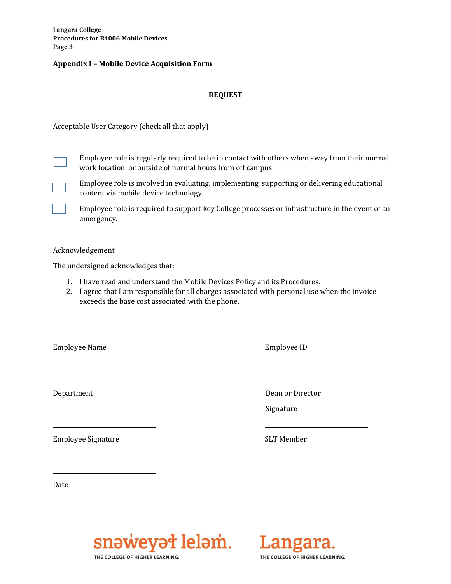**Langara College Procedures for B4006 Mobile Devices Page 3**

#### **Appendix I – Mobile Device Acquisition Form**

## **REQUEST**

Acceptable User Category (check all that apply)

Employee role is regularly required to be in contact with others when away from their normal work location, or outside of normal hours from off campus.

- Employee role is involved in evaluating, implementing, supporting or delivering educational content via mobile device technology.
- Employee role is required to support key College processes or infrastructure in the event of an emergency.

Acknowledgement

The undersigned acknowledges that:

- 1. I have read and understand the Mobile Devices Policy and its Procedures.
- 2. I agree that I am responsible for all charges associated with personal use when the invoice exceeds the base cost associated with the phone.

Employee Name Employee ID

Employee Signature SLT Member

Department Dean or Director

Signature

Date